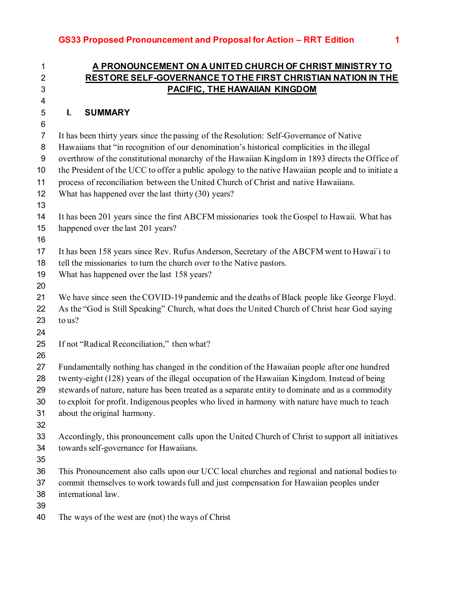## **A PRONOUNCEMENT ON A UNITED CHURCH OF CHRIST MINISTRY TO RESTORE SELF-GOVERNANCE TO THE FIRST CHRISTIAN NATION IN THE PACIFIC, THE HAWAIIAN KINGDOM**

### **I. SUMMARY**

- It has been thirty years since the passing of the Resolution: Self-Governance of Native
- Hawaiians that "in recognition of our denomination's historical complicities in the illegal
- overthrow of the constitutional monarchy of the Hawaiian Kingdom in 1893 directs the Office of
- the President of the UCC to offer a public apology to the native Hawaiian people and to initiate a
- process of reconciliation between the United Church of Christ and native Hawaiians.
- What has happened over the last thirty (30) years?
- 
- It has been 201 years since the first ABCFM missionaries took the Gospel to Hawaii. What has happened over the last 201 years?
- 
- It has been 158 years since Rev. Rufus Anderson, Secretary of the ABCFM went to Hawai`i to
- tell the missionaries to turn the church over to the Native pastors.
- What has happened over the last 158 years?
- 
- We have since seen the COVID-19 pandemic and the deaths of Black people like George Floyd.
- As the "God is Still Speaking" Church, what does the United Church of Christ hear God saying to us?
- 
- If not "Radical Reconciliation," then what?
- 
- Fundamentally nothing has changed in the condition of the Hawaiian people after one hundred
- twenty-eight (128) years of the illegal occupation of the Hawaiian Kingdom. Instead of being
- stewards of nature, nature has been treated as a separate entity to dominate and as a commodity
- to exploit for profit. Indigenous peoples who lived in harmony with nature have much to teach
- about the original harmony.
- 
- Accordingly, this pronouncement calls upon the United Church of Christ to support all initiatives towards self-governance for Hawaiians.
- 
- This Pronouncement also calls upon our UCC local churches and regional and national bodies to
- commit themselves to work towards full and just compensation for Hawaiian peoples under
- international law.
- 
- The ways of the west are (not) the ways of Christ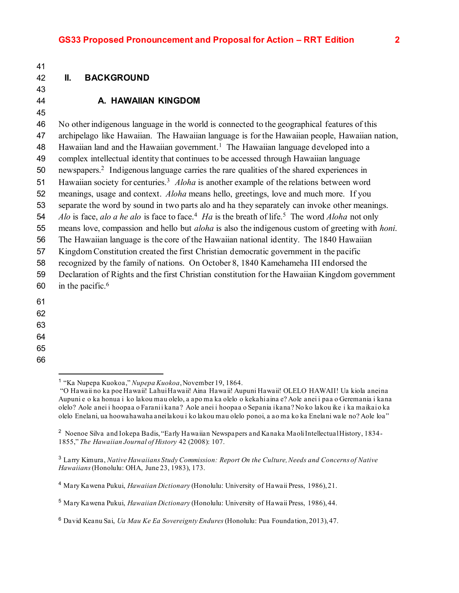#### **II. BACKGROUND**

#### **A. HAWAIIAN KINGDOM**

 No other indigenous language in the world is connected to the geographical features of this archipelago like Hawaiian. The Hawaiian language is for the Hawaiian people, Hawaiian nation, 48 Hawaiian land and the Hawaiian government.<sup>1</sup> The Hawaiian language developed into a complex intellectual identity that continues to be accessed through Hawaiian language newspapers.2 Indigenous language carries the rare qualities of the shared experiences in 51 Hawaiian society for centuries.<sup>3</sup> *Aloha* is another example of the relations between word meanings, usage and context. *Aloha* means hello, greetings, love and much more. If you separate the word by sound in two parts alo and ha they separately can invoke other meanings. *Alo* is face, *alo a he alo* is face to face.<sup>4</sup> *Ha* is the breath of life.<sup>5</sup> The word *Aloha* not only means love, compassion and hello but *aloha* is also the indigenous custom of greeting with *honi*. The Hawaiian language is the core of the Hawaiian national identity. The 1840 Hawaiian Kingdom Constitution created the first Christian democratic government in the pacific recognized by the family of nations. On October 8, 1840 Kamehameha III endorsed the Declaration of Rights and the first Christian constitution for the Hawaiian Kingdom government in the pacific.<sup>6</sup> 

- 
- 
- 
- 
- 

"Ka Nupepa Kuokoa," *Nupepa Kuokoa*, November 19, 1864.

<sup>&</sup>quot;O Hawaii no ka poe Hawaii! Lahui Hawaii! Aina Hawaii! Aupuni Hawaii! OLELO HAWAII! Ua kiola anei na Aupuni e o ka honua i ko lakou mau olelo, a apo ma ka olelo o kekahi aina e? Aole anei i paa o Geremania i kana olelo? Aole anei i hoopaa o Farani i kana? Aole anei i hoopaa o Sepania i kana? No ko lakou ike i ka maikai o ka olelo Enelani, ua hoowahawaha anei lakou i ko lakou mau olelo ponoi, a ao ma ko ka Enelani wale no? Aole loa"

Noenoe Silva and Iokepa Badis, "Early Hawaiian Newspapers and Kanaka Maoli Intellectual History, 1834- 1855," *The Hawaiian Journal of History* 42 (2008): 107.

 Larry Kimura, *Native Hawaiians Study Commission: Report On the Culture, Needs and Concerns of Native Hawaiians*(Honolulu: OHA, June 23, 1983), 173.

Mary Kawena Pukui, *Hawaiian Dictionary* (Honolulu: University of Hawaii Press, 1986), 21.

Mary Kawena Pukui, *Hawaiian Dictionary* (Honolulu: University of Hawaii Press, 1986), 44.

David Keanu Sai, *Ua Mau Ke Ea Sovereignty Endures*(Honolulu: Pua Foundation, 2013), 47.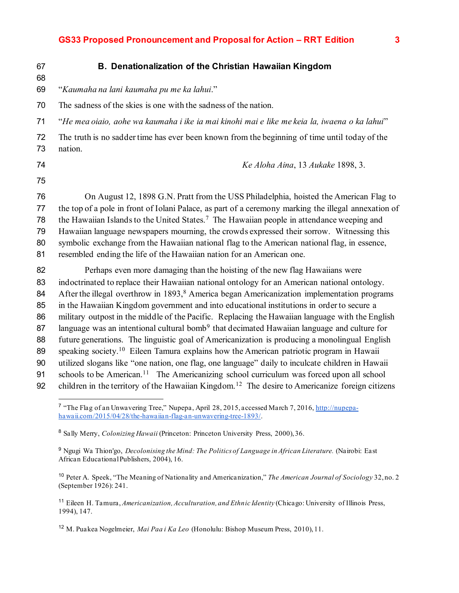| 67<br>68                         | B. Denationalization of the Christian Hawaiian Kingdom                                                                                                                                                                                                                                                                                                                                                                                                                                                                                                                       |
|----------------------------------|------------------------------------------------------------------------------------------------------------------------------------------------------------------------------------------------------------------------------------------------------------------------------------------------------------------------------------------------------------------------------------------------------------------------------------------------------------------------------------------------------------------------------------------------------------------------------|
| 69                               | "Kaumaha na lani kaumaha pu me ka lahui."                                                                                                                                                                                                                                                                                                                                                                                                                                                                                                                                    |
| 70                               | The sadness of the skies is one with the sadness of the nation.                                                                                                                                                                                                                                                                                                                                                                                                                                                                                                              |
| 71                               | "He mea oiaio, aohe wa kaumaha i ike ia mai kinohi mai e like me keia la, iwaena o ka lahui"                                                                                                                                                                                                                                                                                                                                                                                                                                                                                 |
| 72<br>73                         | The truth is no sadder time has ever been known from the beginning of time until today of the<br>nation.                                                                                                                                                                                                                                                                                                                                                                                                                                                                     |
| 74                               | Ke Aloha Aina, 13 Aukake 1898, 3.                                                                                                                                                                                                                                                                                                                                                                                                                                                                                                                                            |
| 75                               |                                                                                                                                                                                                                                                                                                                                                                                                                                                                                                                                                                              |
| 76<br>77<br>78<br>79<br>80<br>81 | On August 12, 1898 G.N. Pratt from the USS Philadelphia, hoisted the American Flag to<br>the top of a pole in front of Iolani Palace, as part of a ceremony marking the illegal annexation of<br>the Hawaiian Islands to the United States. <sup>7</sup> The Hawaiian people in attendance weeping and<br>Hawaiian language newspapers mourning, the crowds expressed their sorrow. Witnessing this<br>symbolic exchange from the Hawaiian national flag to the American national flag, in essence,<br>resembled ending the life of the Hawaiian nation for an American one. |
| 82<br>83<br>84<br>85             | Perhaps even more damaging than the hoisting of the new flag Hawaiians were<br>indoctrinated to replace their Hawaiian national ontology for an American national ontology.<br>After the illegal overthrow in 1893,8 America began Americanization implementation programs<br>in the Hawaiian Kingdom government and into educational institutions in order to secure a                                                                                                                                                                                                      |
| 86                               | military outpost in the middle of the Pacific. Replacing the Hawaiian language with the English                                                                                                                                                                                                                                                                                                                                                                                                                                                                              |
| 87<br>88<br>89                   | language was an intentional cultural bomb <sup>9</sup> that decimated Hawaiian language and culture for<br>future generations. The linguistic goal of Americanization is producing a monolingual English<br>speaking society. <sup>10</sup> Eileen Tamura explains how the American patriotic program in Hawaii                                                                                                                                                                                                                                                              |
| 90<br>91                         | utilized slogans like "one nation, one flag, one language" daily to inculcate children in Hawaii<br>schools to be American. <sup>11</sup> The Americanizing school curriculum was forced upon all school                                                                                                                                                                                                                                                                                                                                                                     |
| 92                               | children in the territory of the Hawaiian Kingdom. <sup>12</sup> The desire to Americanize foreign citizens                                                                                                                                                                                                                                                                                                                                                                                                                                                                  |

<sup>&</sup>lt;sup>7</sup> "The Flag of an Unwavering Tree," Nupepa, April 28, 2015, accessed March 7, 2016, http://nupepahawaii.com/2015/04/28/the-hawaiian-flag-an-unwavering-tree-1893/.

Sally Merry, *Colonizing Hawaii* (Princeton: Princeton University Press, 2000), 36.

 Ngugi Wa Thion'go, *Decolonising the Mind: The Politics of Language in African Literature.* (Nairobi: East African Educational Publishers, 2004), 16.

 Peter A. Speek, "The Meaning of Nationality and Americanization," *The American Journal of Sociology* 32, no. 2 (September 1926): 241.

 Eileen H. Tamura, *Americanization, Acculturation, and Ethnic Identity* (Chicago: University of Illinois Press, 1994), 147.

M. Puakea Nogelmeier, *Mai Paa i Ka Leo* (Honolulu: Bishop Museum Press, 2010), 11.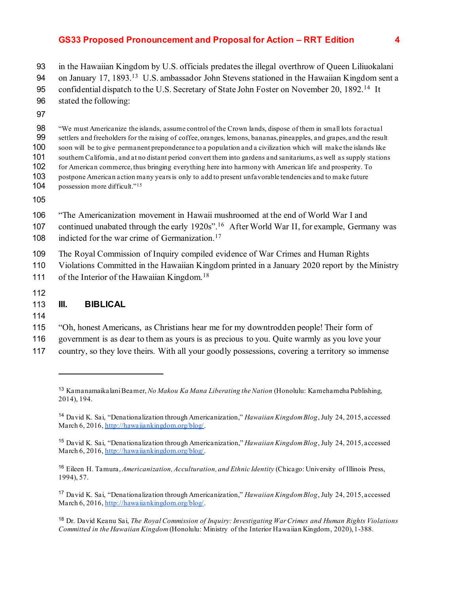"We must Americanize the islands, assume control of the Crown lands, dispose of them in small lots for actual settlers and freeholders for the raising of coffee, oranges, lemons, bananas, pineapples, and grapes, and the result soon will be to give permanent preponderance to a population and a civilization which will make the islands like southern California, and at no distant period convert them into gardens and sanitariums, as well as supply stations for American commerce, thus bringing everything here into harmony with American life and prosperity. To postpone American action many years is only to add to present unfavorable tendencies and to make future

- 104 possession more difficult."
- 

"The Americanization movement in Hawaii mushroomed at the end of World War I and

107 continued unabated through the early 1920s".<sup>16</sup> After World War II, for example, Germany was 108 indicted for the war crime of Germanization.<sup>17</sup>

The Royal Commission of Inquiry compiled evidence of War Crimes and Human Rights

Violations Committed in the Hawaiian Kingdom printed in a January 2020 report by the Ministry

- 111 of the Interior of the Hawaiian Kingdom.<sup>18</sup>
- 

#### **III. BIBLICAL**

"Oh, honest Americans, as Christians hear me for my downtrodden people! Their form of

government is as dear to them as yours is as precious to you. Quite warmly as you love your

country, so they love theirs. With all your goodly possessions, covering a territory so immense

 Eileen H. Tamura, *Americanization, Acculturation, and Ethnic Identity* (Chicago: University of Illinois Press, 1994), 57.

 David K. Sai, "Denationalization through Americanization," *Hawaiian Kingdom Blog*, July 24, 2015, accessed March 6, 2016, http://hawaiiankingdom.org/blog/.

 Dr. David Keanu Sai, *The Royal Commission of Inquiry: Investigating War Crimes and Human Rights Violations Committed in the Hawaiian Kingdom* (Honolulu: Ministry of the Interior Hawaiian Kingdom, 2020), 1-388.

 Kamanamaikalani Beamer, *No Makou Ka Mana Liberating the Nation* (Honolulu: Kamehameha Publishing, 2014), 194.

 David K. Sai, "Denationalization through Americanization," *Hawaiian Kingdom Blog*, July 24, 2015, accessed March 6, 2016, http://hawaiiankingdom.org/blog/.

 David K. Sai, "Denationalization through Americanization," *Hawaiian Kingdom Blog*, July 24, 2015, accessed March 6, 2016, http://hawaiiankingdom.org/blog/.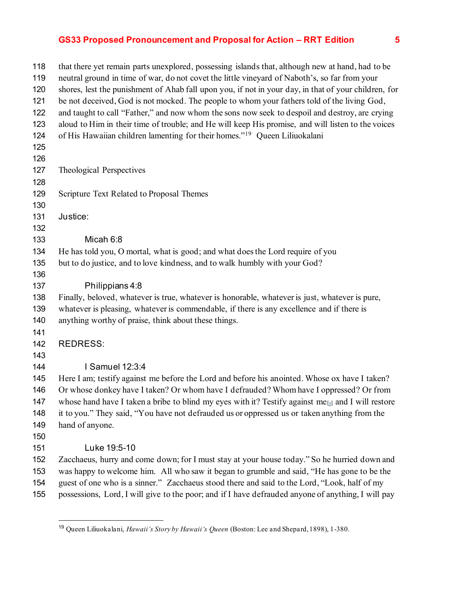| 118        | that there yet remain parts unexplored, possessing islands that, although new at hand, had to be                                                                                                     |
|------------|------------------------------------------------------------------------------------------------------------------------------------------------------------------------------------------------------|
| 119        | neutral ground in time of war, do not covet the little vineyard of Naboth's, so far from your                                                                                                        |
| 120        | shores, lest the punishment of Ahab fall upon you, if not in your day, in that of your children, for                                                                                                 |
| 121        | be not deceived, God is not mocked. The people to whom your fathers told of the living God,                                                                                                          |
| 122<br>123 | and taught to call "Father," and now whom the sons now seek to despoil and destroy, are crying<br>aloud to Him in their time of trouble; and He will keep His promise, and will listen to the voices |
| 124        | of His Hawaiian children lamenting for their homes." <sup>19</sup> Queen Liliuokalani                                                                                                                |
| 125        |                                                                                                                                                                                                      |
| 126        |                                                                                                                                                                                                      |
| 127        | Theological Perspectives                                                                                                                                                                             |
| 128        |                                                                                                                                                                                                      |
| 129        | Scripture Text Related to Proposal Themes                                                                                                                                                            |
| 130        |                                                                                                                                                                                                      |
| 131        | Justice:                                                                                                                                                                                             |
| 132        |                                                                                                                                                                                                      |
| 133        | Micah 6:8                                                                                                                                                                                            |
| 134        | He has told you, O mortal, what is good; and what does the Lord require of you                                                                                                                       |
| 135        | but to do justice, and to love kindness, and to walk humbly with your God?                                                                                                                           |
| 136        |                                                                                                                                                                                                      |
| 137        | Philippians 4:8                                                                                                                                                                                      |
| 138        | Finally, beloved, whatever is true, whatever is honorable, whatever is just, whatever is pure,                                                                                                       |
| 139        | whatever is pleasing, whatever is commendable, if there is any excellence and if there is                                                                                                            |
| 140        | anything worthy of praise, think about these things.                                                                                                                                                 |
| 141        |                                                                                                                                                                                                      |
| 142        | <b>REDRESS:</b>                                                                                                                                                                                      |
| 143        |                                                                                                                                                                                                      |
| 144        | I Samuel 12:3:4                                                                                                                                                                                      |
| 145        | Here I am; testify against me before the Lord and before his anointed. Whose ox have I taken?                                                                                                        |
| 146        | Or whose donkey have I taken? Or whom have I defrauded? Whom have I oppressed? Or from                                                                                                               |
| 147        | whose hand have I taken a bribe to blind my eyes with it? Testify against me <sub>[a]</sub> and I will restore                                                                                       |
| 148        | it to you." They said, "You have not defrauded us or oppressed us or taken anything from the                                                                                                         |
| 149        | hand of anyone.                                                                                                                                                                                      |
| 150<br>151 | Luke 19:5-10                                                                                                                                                                                         |
| 152        | Zacchaeus, hurry and come down; for I must stay at your house today." So he hurried down and                                                                                                         |
| 153        | was happy to welcome him. All who saw it began to grumble and said, "He has gone to be the                                                                                                           |
| 154        | guest of one who is a sinner." Zacchaeus stood there and said to the Lord, "Look, half of my                                                                                                         |
| 155        | possessions, Lord, I will give to the poor; and if I have defrauded anyone of anything, I will pay                                                                                                   |
|            |                                                                                                                                                                                                      |

Queen Liliuokalani, *Hawaiiʻs Story by Hawaiiʻs Queen* (Boston: Lee and Shepard, 1898), 1-380.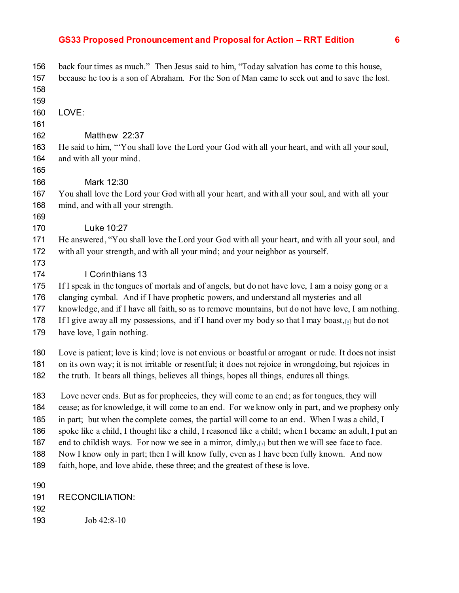| 156<br>157<br>158 | back four times as much." Then Jesus said to him, "Today salvation has come to this house,<br>because he too is a son of Abraham. For the Son of Man came to seek out and to save the lost.                                                                                                                  |
|-------------------|--------------------------------------------------------------------------------------------------------------------------------------------------------------------------------------------------------------------------------------------------------------------------------------------------------------|
| 159<br>160        | LOVE:                                                                                                                                                                                                                                                                                                        |
| 161               |                                                                                                                                                                                                                                                                                                              |
| 162               | Matthew 22:37                                                                                                                                                                                                                                                                                                |
| 163<br>164        | He said to him, "You shall love the Lord your God with all your heart, and with all your soul,<br>and with all your mind.                                                                                                                                                                                    |
| 165               |                                                                                                                                                                                                                                                                                                              |
| 166               | Mark 12:30                                                                                                                                                                                                                                                                                                   |
| 167<br>168        | You shall love the Lord your God with all your heart, and with all your soul, and with all your<br>mind, and with all your strength.                                                                                                                                                                         |
| 169               |                                                                                                                                                                                                                                                                                                              |
| 170               | Luke 10:27                                                                                                                                                                                                                                                                                                   |
| 171               | He answered, "You shall love the Lord your God with all your heart, and with all your soul, and                                                                                                                                                                                                              |
| 172               | with all your strength, and with all your mind; and your neighbor as yourself.                                                                                                                                                                                                                               |
| 173               |                                                                                                                                                                                                                                                                                                              |
| 174               | I Corinthians 13                                                                                                                                                                                                                                                                                             |
| 175               | If I speak in the tongues of mortals and of angels, but do not have love, I am a noisy gong or a                                                                                                                                                                                                             |
| 176<br>177        | clanging cymbal. And if I have prophetic powers, and understand all mysteries and all<br>knowledge, and if I have all faith, so as to remove mountains, but do not have love, I am nothing.                                                                                                                  |
| 178               | If I give away all my possessions, and if I hand over my body so that I may boast, [a] but do not                                                                                                                                                                                                            |
| 179               | have love, I gain nothing.                                                                                                                                                                                                                                                                                   |
| 180<br>181<br>182 | Love is patient; love is kind; love is not envious or boastful or arrogant or rude. It does not insist<br>on its own way; it is not irritable or resentful; it does not rejoice in wrongdoing, but rejoices in<br>the truth. It bears all things, believes all things, hopes all things, endures all things. |
| 183<br>184<br>185 | Love never ends. But as for prophecies, they will come to an end; as for tongues, they will<br>cease; as for knowledge, it will come to an end. For we know only in part, and we prophesy only<br>in part; but when the complete comes, the partial will come to an end. When I was a child, I               |
| 186               | spoke like a child, I thought like a child, I reasoned like a child; when I became an adult, I put an                                                                                                                                                                                                        |
| 187<br>188        | end to childish ways. For now we see in a mirror, dimly, [b] but then we will see face to face.<br>Now I know only in part; then I will know fully, even as I have been fully known. And now                                                                                                                 |
| 189               | faith, hope, and love abide, these three; and the greatest of these is love.                                                                                                                                                                                                                                 |
| 190<br>191        | <b>RECONCILIATION:</b>                                                                                                                                                                                                                                                                                       |
| 192               |                                                                                                                                                                                                                                                                                                              |
| 193               | Job 42:8-10                                                                                                                                                                                                                                                                                                  |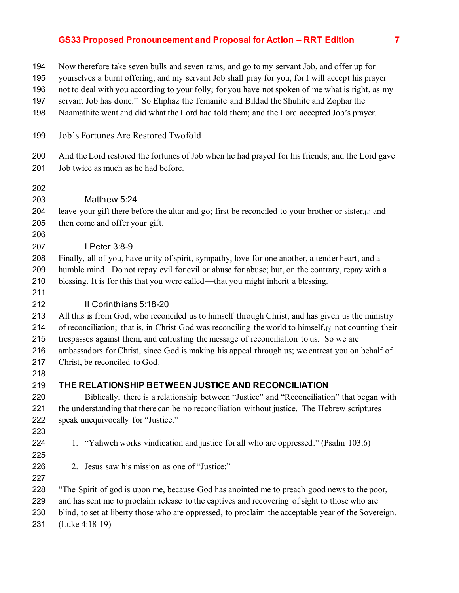| 194<br>195<br>196<br>197<br>198 | Now therefore take seven bulls and seven rams, and go to my servant Job, and offer up for<br>yourselves a burnt offering; and my servant Job shall pray for you, for I will accept his prayer<br>not to deal with you according to your folly; for you have not spoken of me what is right, as my<br>servant Job has done." So Eliphaz the Temanite and Bildad the Shuhite and Zophar the<br>Naamathite went and did what the Lord had told them; and the Lord accepted Job's prayer. |
|---------------------------------|---------------------------------------------------------------------------------------------------------------------------------------------------------------------------------------------------------------------------------------------------------------------------------------------------------------------------------------------------------------------------------------------------------------------------------------------------------------------------------------|
| 199                             | Job's Fortunes Are Restored Twofold                                                                                                                                                                                                                                                                                                                                                                                                                                                   |
| 200<br>201                      | And the Lord restored the fortunes of Job when he had prayed for his friends; and the Lord gave<br>Job twice as much as he had before.                                                                                                                                                                                                                                                                                                                                                |
| 202<br>203<br>204<br>205<br>206 | Matthew 5:24<br>leave your gift there before the altar and go; first be reconciled to your brother or sister, [a] and<br>then come and offer your gift.                                                                                                                                                                                                                                                                                                                               |
| 207                             | I Peter 3:8-9                                                                                                                                                                                                                                                                                                                                                                                                                                                                         |
| 208                             | Finally, all of you, have unity of spirit, sympathy, love for one another, a tender heart, and a                                                                                                                                                                                                                                                                                                                                                                                      |
| 209                             | humble mind. Do not repay evil for evil or abuse for abuse; but, on the contrary, repay with a                                                                                                                                                                                                                                                                                                                                                                                        |
| 210<br>211                      | blessing. It is for this that you were called—that you might inherit a blessing.                                                                                                                                                                                                                                                                                                                                                                                                      |
| 212                             | Il Corinthians 5:18-20                                                                                                                                                                                                                                                                                                                                                                                                                                                                |
| 213                             | All this is from God, who reconciled us to himself through Christ, and has given us the ministry                                                                                                                                                                                                                                                                                                                                                                                      |
| 214<br>215<br>216<br>217        | of reconciliation; that is, in Christ God was reconciling the world to himself, [a] not counting their<br>trespasses against them, and entrusting the message of reconciliation to us. So we are<br>ambassadors for Christ, since God is making his appeal through us; we entreat you on behalf of<br>Christ, be reconciled to God.                                                                                                                                                   |
| 218                             |                                                                                                                                                                                                                                                                                                                                                                                                                                                                                       |
| 219                             | THE RELATIONSHIP BETWEEN JUSTICE AND RECONCILIATION                                                                                                                                                                                                                                                                                                                                                                                                                                   |
| 220                             | Biblically, there is a relationship between "Justice" and "Reconciliation" that began with                                                                                                                                                                                                                                                                                                                                                                                            |
| 221                             | the understanding that there can be no reconciliation without justice. The Hebrew scriptures                                                                                                                                                                                                                                                                                                                                                                                          |
| 222                             | speak unequivocally for "Justice."                                                                                                                                                                                                                                                                                                                                                                                                                                                    |
| 223                             |                                                                                                                                                                                                                                                                                                                                                                                                                                                                                       |
| 224                             | 1. "Yahweh works vindication and justice for all who are oppressed." (Psalm 103:6)                                                                                                                                                                                                                                                                                                                                                                                                    |
| 225                             |                                                                                                                                                                                                                                                                                                                                                                                                                                                                                       |
| 226<br>227                      | 2. Jesus saw his mission as one of "Justice:"                                                                                                                                                                                                                                                                                                                                                                                                                                         |
| 228<br>229<br>230<br>231        | "The Spirit of god is upon me, because God has anointed me to preach good news to the poor,<br>and has sent me to proclaim release to the captives and recovering of sight to those who are<br>blind, to set at liberty those who are oppressed, to proclaim the acceptable year of the Sovereign.<br>$(Luke 4:18-19)$                                                                                                                                                                |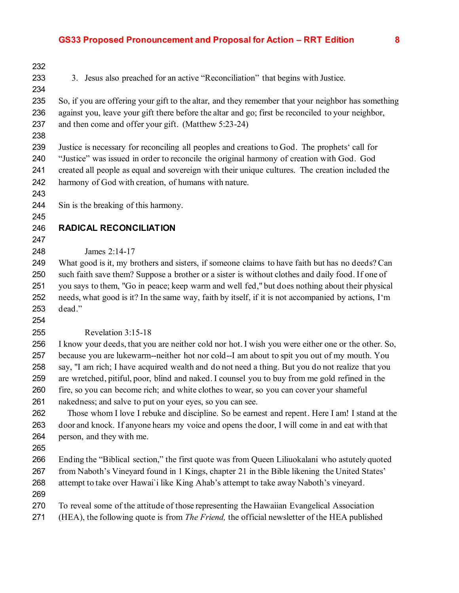| 232        |                                                                                                                                                                                                    |
|------------|----------------------------------------------------------------------------------------------------------------------------------------------------------------------------------------------------|
| 233        | 3. Jesus also preached for an active "Reconciliation" that begins with Justice.                                                                                                                    |
| 234        |                                                                                                                                                                                                    |
| 235        | So, if you are offering your gift to the altar, and they remember that your neighbor has something                                                                                                 |
| 236        | against you, leave your gift there before the altar and go; first be reconciled to your neighbor,                                                                                                  |
| 237        | and then come and offer your gift. (Matthew 5:23-24)                                                                                                                                               |
| 238        |                                                                                                                                                                                                    |
| 239        | Justice is necessary for reconciling all peoples and creations to God. The prophets' call for                                                                                                      |
| 240        | "Justice" was issued in order to reconcile the original harmony of creation with God. God                                                                                                          |
| 241        | created all people as equal and sovereign with their unique cultures. The creation included the                                                                                                    |
| 242        | harmony of God with creation, of humans with nature.                                                                                                                                               |
| 243        |                                                                                                                                                                                                    |
| 244        | Sin is the breaking of this harmony.                                                                                                                                                               |
| 245        |                                                                                                                                                                                                    |
| 246        | <b>RADICAL RECONCILIATION</b>                                                                                                                                                                      |
| 247        |                                                                                                                                                                                                    |
| 248        | James 2:14-17                                                                                                                                                                                      |
| 249<br>250 | What good is it, my brothers and sisters, if someone claims to have faith but has no deeds? Can                                                                                                    |
| 251        | such faith save them? Suppose a brother or a sister is without clothes and daily food. If one of<br>you says to them, "Go in peace; keep warm and well fed," but does nothing about their physical |
| 252        | needs, what good is it? In the same way, faith by itself, if it is not accompanied by actions, I'm                                                                                                 |
| 253        | dead."                                                                                                                                                                                             |
| 254        |                                                                                                                                                                                                    |
| 255        | Revelation 3:15-18                                                                                                                                                                                 |
| 256        | I know your deeds, that you are neither cold nor hot. I wish you were either one or the other. So,                                                                                                 |
| 257        | because you are lukewarm--neither hot nor cold--I am about to spit you out of my mouth. You                                                                                                        |
| 258        | say, "I am rich; I have acquired wealth and do not need a thing. But you do not realize that you                                                                                                   |
| 259        | are wretched, pitiful, poor, blind and naked. I counsel you to buy from me gold refined in the                                                                                                     |
| 260        | fire, so you can become rich; and white clothes to wear, so you can cover your shameful                                                                                                            |
| 261        | nakedness; and salve to put on your eyes, so you can see.                                                                                                                                          |
| 262        | Those whom I love I rebuke and discipline. So be earnest and repent. Here I am! I stand at the                                                                                                     |
| 263        | door and knock. If anyone hears my voice and opens the door, I will come in and eat with that                                                                                                      |
| 264        | person, and they with me.                                                                                                                                                                          |
| 265        |                                                                                                                                                                                                    |
| 266        | Ending the "Biblical section," the first quote was from Queen Liliuokalani who astutely quoted                                                                                                     |
| 267        | from Naboth's Vineyard found in 1 Kings, chapter 21 in the Bible likening the United States'                                                                                                       |
| 268        | attempt to take over Hawai'i like King Ahab's attempt to take away Naboth's vineyard.                                                                                                              |
| 269        |                                                                                                                                                                                                    |
| 270        | To reveal some of the attitude of those representing the Hawaiian Evangelical Association                                                                                                          |
| 271        | (HEA), the following quote is from <i>The Friend</i> , the official newsletter of the HEA published                                                                                                |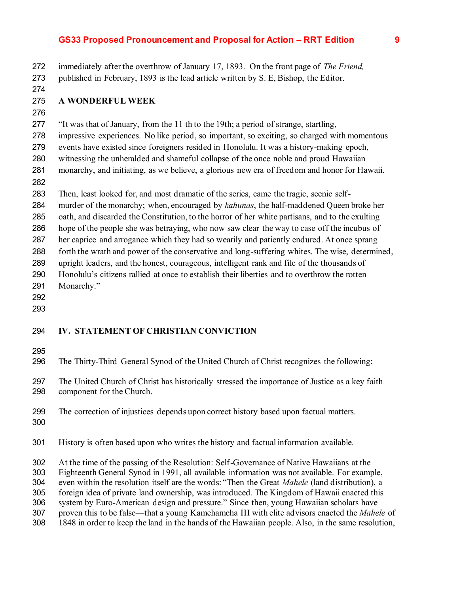| 272<br>273                      | immediately after the overthrow of January 17, 1893. On the front page of The Friend,<br>published in February, 1893 is the lead article written by S. E, Bishop, the Editor.                                                                                                                                                                                                                                                                                                     |
|---------------------------------|-----------------------------------------------------------------------------------------------------------------------------------------------------------------------------------------------------------------------------------------------------------------------------------------------------------------------------------------------------------------------------------------------------------------------------------------------------------------------------------|
| 274<br>275                      | <b>A WONDERFUL WEEK</b>                                                                                                                                                                                                                                                                                                                                                                                                                                                           |
| 276                             |                                                                                                                                                                                                                                                                                                                                                                                                                                                                                   |
| 277                             | "It was that of January, from the 11 th to the 19th; a period of strange, startling,                                                                                                                                                                                                                                                                                                                                                                                              |
| 278                             | impressive experiences. No like period, so important, so exciting, so charged with momentous                                                                                                                                                                                                                                                                                                                                                                                      |
| 279                             | events have existed since foreigners resided in Honolulu. It was a history-making epoch,                                                                                                                                                                                                                                                                                                                                                                                          |
| 280<br>281                      | witnessing the unheralded and shameful collapse of the once noble and proud Hawaiian<br>monarchy, and initiating, as we believe, a glorious new era of freedom and honor for Hawaii.                                                                                                                                                                                                                                                                                              |
| 282                             |                                                                                                                                                                                                                                                                                                                                                                                                                                                                                   |
| 283                             | Then, least looked for, and most dramatic of the series, came the tragic, scenic self-                                                                                                                                                                                                                                                                                                                                                                                            |
| 284                             | murder of the monarchy; when, encouraged by kahunas, the half-maddened Queen broke her                                                                                                                                                                                                                                                                                                                                                                                            |
| 285                             | oath, and discarded the Constitution, to the horror of her white partisans, and to the exulting                                                                                                                                                                                                                                                                                                                                                                                   |
| 286                             | hope of the people she was betraying, who now saw clear the way to case off the incubus of                                                                                                                                                                                                                                                                                                                                                                                        |
| 287                             | her caprice and arrogance which they had so wearily and patiently endured. At once sprang                                                                                                                                                                                                                                                                                                                                                                                         |
| 288                             | forth the wrath and power of the conservative and long-suffering whites. The wise, determined,                                                                                                                                                                                                                                                                                                                                                                                    |
| 289                             | upright leaders, and the honest, courageous, intelligent rank and file of the thousands of                                                                                                                                                                                                                                                                                                                                                                                        |
| 290                             | Honolulu's citizens rallied at once to establish their liberties and to overthrow the rotten                                                                                                                                                                                                                                                                                                                                                                                      |
| 291                             | Monarchy."                                                                                                                                                                                                                                                                                                                                                                                                                                                                        |
| 292                             |                                                                                                                                                                                                                                                                                                                                                                                                                                                                                   |
| 293                             |                                                                                                                                                                                                                                                                                                                                                                                                                                                                                   |
| 294                             | IV. STATEMENT OF CHRISTIAN CONVICTION                                                                                                                                                                                                                                                                                                                                                                                                                                             |
| 295                             |                                                                                                                                                                                                                                                                                                                                                                                                                                                                                   |
| 296                             | The Thirty-Third General Synod of the United Church of Christ recognizes the following:                                                                                                                                                                                                                                                                                                                                                                                           |
| 297<br>298                      | The United Church of Christ has historically stressed the importance of Justice as a key faith<br>component for the Church.                                                                                                                                                                                                                                                                                                                                                       |
| 299<br>300                      | The correction of injustices depends upon correct history based upon factual matters.                                                                                                                                                                                                                                                                                                                                                                                             |
| 301                             | History is often based upon who writes the history and factual information available.                                                                                                                                                                                                                                                                                                                                                                                             |
| 302<br>303<br>304<br>305<br>306 | At the time of the passing of the Resolution: Self-Governance of Native Hawaiians at the<br>Eighteenth General Synod in 1991, all available information was not available. For example,<br>even within the resolution itself are the words: "Then the Great Mahele (land distribution), a<br>foreign idea of private land ownership, was introduced. The Kingdom of Hawaii enacted this<br>system by Euro-American design and pressure." Since then, young Hawaiian scholars have |
| 307<br>308                      | proven this to be false—that a young Kamehameha III with elite advisors enacted the Mahele of<br>1848 in order to keep the land in the hands of the Hawaiian people. Also, in the same resolution,                                                                                                                                                                                                                                                                                |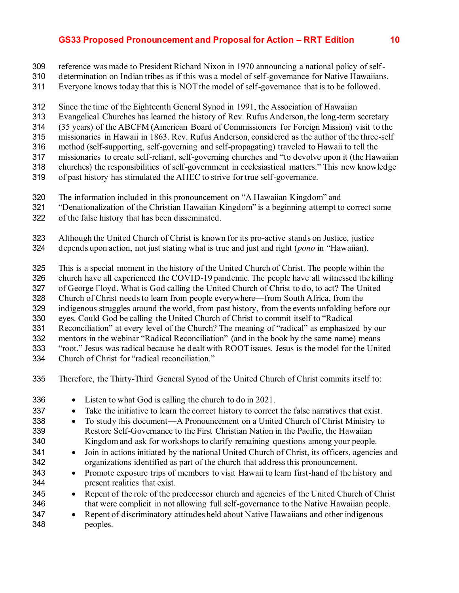- reference was made to President Richard Nixon in 1970 announcing a national policy of self-
- determination on Indian tribes as if this was a model of self-governance for Native Hawaiians.
- Everyone knows today that this is NOT the model of self-governance that is to be followed.
- Since the time of the Eighteenth General Synod in 1991, the Association of Hawaiian
- Evangelical Churches has learned the history of Rev. Rufus Anderson, the long-term secretary
- (35 years) of the ABCFM (American Board of Commissioners for Foreign Mission) visit to the
- missionaries in Hawaii in 1863. Rev. Rufus Anderson, considered as the author of the three-self
- method (self-supporting, self-governing and self-propagating) traveled to Hawaii to tell the
- missionaries to create self-reliant, self-governing churches and "to devolve upon it (the Hawaiian churches) the responsibilities of self-government in ecclesiastical matters." This new knowledge
- of past history has stimulated the AHEC to strive for true self-governance.
- The information included in this pronouncement on "A Hawaiian Kingdom" and
- "Denationalization of the Christian Hawaiian Kingdom" is a beginning attempt to correct some
- of the false history that has been disseminated.
- Although the United Church of Christ is known for its pro-active stands on Justice, justice depends upon action, not just stating what is true and just and right (*pono* in "Hawaiian).
- This is a special moment in the history of the United Church of Christ. The people within the
- church have all experienced the COVID-19 pandemic. The people have all witnessed the killing
- of George Floyd. What is God calling the United Church of Christ to do, to act? The United
- Church of Christ needs to learn from people everywhere—from South Africa, from the
- indigenous struggles around the world, from past history, from the events unfolding before our
- eyes. Could God be calling the United Church of Christ to commit itself to "Radical
- Reconciliation" at every level of the Church? The meaning of "radical" as emphasized by our
- mentors in the webinar "Radical Reconciliation" (and in the book by the same name) means
- "root." Jesus was radical because he dealt with ROOT issues. Jesus is the model for the United
- Church of Christ for "radical reconciliation."
- Therefore, the Thirty-Third General Synod of the United Church of Christ commits itself to:
- 336 Listen to what God is calling the church to do in 2021.
- Take the initiative to learn the correct history to correct the false narratives that exist.
- To study this document—A Pronouncement on a United Church of Christ Ministry to Restore Self-Governance to the First Christian Nation in the Pacific, the Hawaiian Kingdom and ask for workshops to clarify remaining questions among your people.
- 341 Join in actions initiated by the national United Church of Christ, its officers, agencies and organizations identified as part of the church that address this pronouncement.
- Promote exposure trips of members to visit Hawaii to learn first-hand of the history and present realities that exist.
- Repent of the role of the predecessor church and agencies of the United Church of Christ 346 that were complicit in not allowing full self-governance to the Native Hawaiian people.
- Repent of discriminatory attitudes held about Native Hawaiians and other indigenous peoples.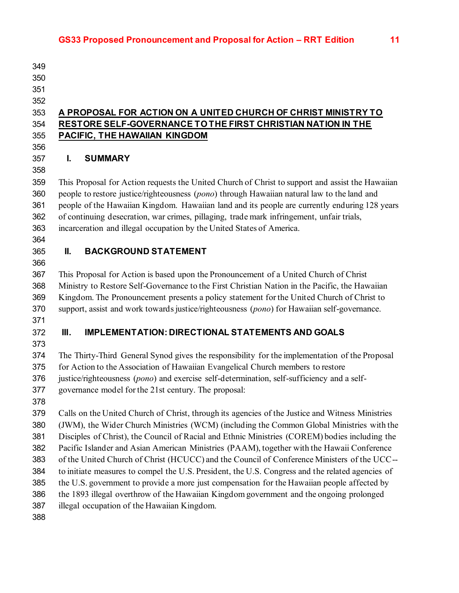**A PROPOSAL FOR ACTION ON A UNITED CHURCH OF CHRIST MINISTRY TO** 

## **RESTORE SELF-GOVERNANCE TO THE FIRST CHRISTIAN NATION IN THE PACIFIC, THE HAWAIIAN KINGDOM**

## **I. SUMMARY**

 This Proposal for Action requests the United Church of Christ to support and assist the Hawaiian people to restore justice/righteousness (*pono*) through Hawaiian natural law to the land and people of the Hawaiian Kingdom. Hawaiian land and its people are currently enduring 128 years of continuing desecration, war crimes, pillaging, trade mark infringement, unfair trials, incarceration and illegal occupation by the United States of America.

### **II. BACKGROUND STATEMENT**

 This Proposal for Action is based upon the Pronouncement of a United Church of Christ Ministry to Restore Self-Governance to the First Christian Nation in the Pacific, the Hawaiian Kingdom. The Pronouncement presents a policy statement for the United Church of Christ to support, assist and work towards justice/righteousness (*pono*) for Hawaiian self-governance.

#### **III. IMPLEMENTATION: DIRECTIONAL STATEMENTS AND GOALS**

The Thirty-Third General Synod gives the responsibility for the implementation of the Proposal

for Action to the Association of Hawaiian Evangelical Church members to restore

justice/righteousness (*pono*) and exercise self-determination, self-sufficiency and a self-

governance model for the 21st century. The proposal:

 Calls on the United Church of Christ, through its agencies of the Justice and Witness Ministries (JWM), the Wider Church Ministries (WCM) (including the Common Global Ministries with the Disciples of Christ), the Council of Racial and Ethnic Ministries (COREM) bodies including the Pacific Islander and Asian American Ministries (PAAM), together with the Hawaii Conference of the United Church of Christ (HCUCC) and the Council of Conference Ministers of the UCC-- to initiate measures to compel the U.S. President, the U.S. Congress and the related agencies of the U.S. government to provide a more just compensation for the Hawaiian people affected by the 1893 illegal overthrow of the Hawaiian Kingdom government and the ongoing prolonged illegal occupation of the Hawaiian Kingdom.